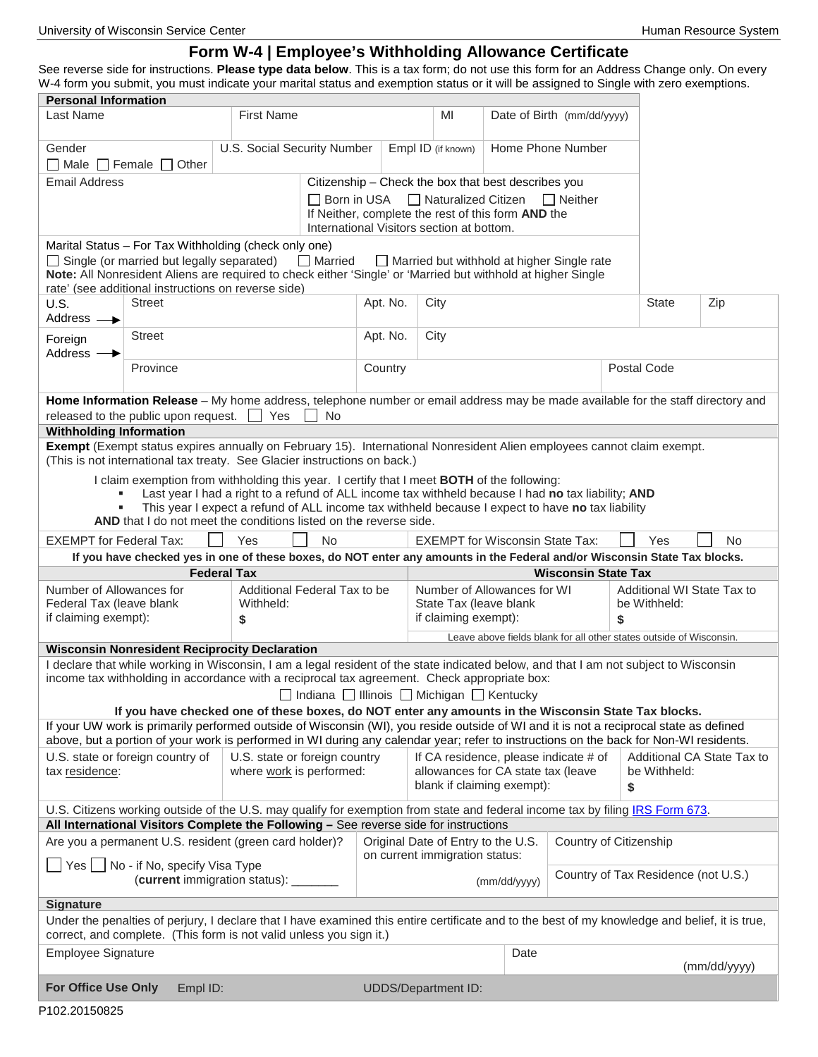# **Form W-4 | Employee's Withholding Allowance Certificate**

See reverse side for instructions. **Please type data below**. This is a tax form; do not use this form for an Address Change only. On every W-4 form you submit, you must indicate your marital status and exemption status or it will be assigned to Single with zero exemptions. **Personal Information**

| Personal Information<br>Last Name                                                                                                                                                                                                                                                                  |                                                                                                                                                                                                                                                                                  | <b>First Name</b>  |                                                           |                                                                                                                   | MI                                                                                                        |                                                                     | Date of Birth (mm/dd/yyyy)          |             |                            |  |                            |
|----------------------------------------------------------------------------------------------------------------------------------------------------------------------------------------------------------------------------------------------------------------------------------------------------|----------------------------------------------------------------------------------------------------------------------------------------------------------------------------------------------------------------------------------------------------------------------------------|--------------------|-----------------------------------------------------------|-------------------------------------------------------------------------------------------------------------------|-----------------------------------------------------------------------------------------------------------|---------------------------------------------------------------------|-------------------------------------|-------------|----------------------------|--|----------------------------|
|                                                                                                                                                                                                                                                                                                    |                                                                                                                                                                                                                                                                                  |                    |                                                           |                                                                                                                   |                                                                                                           |                                                                     |                                     |             |                            |  |                            |
| U.S. Social Security Number<br>Gender                                                                                                                                                                                                                                                              |                                                                                                                                                                                                                                                                                  |                    |                                                           | Empl ID (if known)<br>Home Phone Number                                                                           |                                                                                                           |                                                                     |                                     |             |                            |  |                            |
| $\Box$ Male $\Box$ Female $\Box$ Other                                                                                                                                                                                                                                                             |                                                                                                                                                                                                                                                                                  |                    |                                                           |                                                                                                                   |                                                                                                           |                                                                     |                                     |             |                            |  |                            |
| <b>Email Address</b>                                                                                                                                                                                                                                                                               |                                                                                                                                                                                                                                                                                  |                    |                                                           |                                                                                                                   | Citizenship - Check the box that best describes you                                                       |                                                                     |                                     |             |                            |  |                            |
|                                                                                                                                                                                                                                                                                                    |                                                                                                                                                                                                                                                                                  |                    |                                                           | $\Box$ Naturalized Citizen<br>$\Box$ Neither<br>Born in USA<br>If Neither, complete the rest of this form AND the |                                                                                                           |                                                                     |                                     |             |                            |  |                            |
|                                                                                                                                                                                                                                                                                                    |                                                                                                                                                                                                                                                                                  |                    |                                                           |                                                                                                                   | International Visitors section at bottom.                                                                 |                                                                     |                                     |             |                            |  |                            |
| Marital Status - For Tax Withholding (check only one)<br>$\Box$ Married<br>$\Box$ Single (or married but legally separated)<br>Note: All Nonresident Aliens are required to check either 'Single' or 'Married but withhold at higher Single<br>rate' (see additional instructions on reverse side) |                                                                                                                                                                                                                                                                                  |                    |                                                           | $\Box$ Married but withhold at higher Single rate                                                                 |                                                                                                           |                                                                     |                                     |             |                            |  |                            |
| <b>Street</b><br>U.S.<br>Address $\longrightarrow$                                                                                                                                                                                                                                                 |                                                                                                                                                                                                                                                                                  |                    |                                                           | Apt. No.<br>City                                                                                                  |                                                                                                           |                                                                     |                                     |             | <b>State</b>               |  | Zip                        |
| Foreign<br>Address $-$                                                                                                                                                                                                                                                                             | <b>Street</b>                                                                                                                                                                                                                                                                    |                    |                                                           | Apt. No.<br>City                                                                                                  |                                                                                                           |                                                                     |                                     |             |                            |  |                            |
|                                                                                                                                                                                                                                                                                                    | Province                                                                                                                                                                                                                                                                         |                    |                                                           | Country                                                                                                           |                                                                                                           |                                                                     |                                     | Postal Code |                            |  |                            |
|                                                                                                                                                                                                                                                                                                    | Home Information Release - My home address, telephone number or email address may be made available for the staff directory and                                                                                                                                                  |                    |                                                           |                                                                                                                   |                                                                                                           |                                                                     |                                     |             |                            |  |                            |
| released to the public upon request. $\Box$<br>Yes<br><b>No</b>                                                                                                                                                                                                                                    |                                                                                                                                                                                                                                                                                  |                    |                                                           |                                                                                                                   |                                                                                                           |                                                                     |                                     |             |                            |  |                            |
| <b>Withholding Information</b>                                                                                                                                                                                                                                                                     |                                                                                                                                                                                                                                                                                  |                    |                                                           |                                                                                                                   |                                                                                                           |                                                                     |                                     |             |                            |  |                            |
| Exempt (Exempt status expires annually on February 15). International Nonresident Alien employees cannot claim exempt.<br>(This is not international tax treaty. See Glacier instructions on back.)                                                                                                |                                                                                                                                                                                                                                                                                  |                    |                                                           |                                                                                                                   |                                                                                                           |                                                                     |                                     |             |                            |  |                            |
| I claim exemption from withholding this year. I certify that I meet BOTH of the following:                                                                                                                                                                                                         |                                                                                                                                                                                                                                                                                  |                    |                                                           |                                                                                                                   |                                                                                                           |                                                                     |                                     |             |                            |  |                            |
| Last year I had a right to a refund of ALL income tax withheld because I had no tax liability; AND                                                                                                                                                                                                 |                                                                                                                                                                                                                                                                                  |                    |                                                           |                                                                                                                   |                                                                                                           |                                                                     |                                     |             |                            |  |                            |
| This year I expect a refund of ALL income tax withheld because I expect to have no tax liability<br>٠<br>AND that I do not meet the conditions listed on the reverse side.                                                                                                                         |                                                                                                                                                                                                                                                                                  |                    |                                                           |                                                                                                                   |                                                                                                           |                                                                     |                                     |             |                            |  |                            |
| <b>EXEMPT</b> for Federal Tax:                                                                                                                                                                                                                                                                     |                                                                                                                                                                                                                                                                                  |                    |                                                           |                                                                                                                   |                                                                                                           |                                                                     |                                     |             |                            |  |                            |
|                                                                                                                                                                                                                                                                                                    |                                                                                                                                                                                                                                                                                  |                    |                                                           |                                                                                                                   |                                                                                                           |                                                                     |                                     |             |                            |  |                            |
|                                                                                                                                                                                                                                                                                                    |                                                                                                                                                                                                                                                                                  | Yes                | No.                                                       |                                                                                                                   | <b>EXEMPT for Wisconsin State Tax:</b>                                                                    |                                                                     |                                     |             | Yes                        |  | No.                        |
|                                                                                                                                                                                                                                                                                                    | If you have checked yes in one of these boxes, do NOT enter any amounts in the Federal and/or Wisconsin State Tax blocks.                                                                                                                                                        |                    |                                                           |                                                                                                                   |                                                                                                           |                                                                     |                                     |             |                            |  |                            |
| Number of Allowances for                                                                                                                                                                                                                                                                           |                                                                                                                                                                                                                                                                                  | <b>Federal Tax</b> | Additional Federal Tax to be                              |                                                                                                                   | Number of Allowances for WI                                                                               |                                                                     | <b>Wisconsin State Tax</b>          |             | Additional WI State Tax to |  |                            |
| Federal Tax (leave blank                                                                                                                                                                                                                                                                           |                                                                                                                                                                                                                                                                                  | Withheld:          |                                                           |                                                                                                                   | State Tax (leave blank                                                                                    |                                                                     |                                     |             | be Withheld:               |  |                            |
| if claiming exempt):                                                                                                                                                                                                                                                                               |                                                                                                                                                                                                                                                                                  | \$                 |                                                           |                                                                                                                   | if claiming exempt):                                                                                      |                                                                     |                                     | \$          |                            |  |                            |
|                                                                                                                                                                                                                                                                                                    |                                                                                                                                                                                                                                                                                  |                    |                                                           |                                                                                                                   |                                                                                                           | Leave above fields blank for all other states outside of Wisconsin. |                                     |             |                            |  |                            |
|                                                                                                                                                                                                                                                                                                    | <b>Wisconsin Nonresident Reciprocity Declaration</b>                                                                                                                                                                                                                             |                    |                                                           |                                                                                                                   |                                                                                                           |                                                                     |                                     |             |                            |  |                            |
|                                                                                                                                                                                                                                                                                                    | I declare that while working in Wisconsin, I am a legal resident of the state indicated below, and that I am not subject to Wisconsin<br>income tax withholding in accordance with a reciprocal tax agreement. Check appropriate box:                                            |                    |                                                           |                                                                                                                   |                                                                                                           |                                                                     |                                     |             |                            |  |                            |
|                                                                                                                                                                                                                                                                                                    |                                                                                                                                                                                                                                                                                  |                    | □ Indiana □ Illinois □ Michigan □ Kentucky                |                                                                                                                   |                                                                                                           |                                                                     |                                     |             |                            |  |                            |
|                                                                                                                                                                                                                                                                                                    | If you have checked one of these boxes, do NOT enter any amounts in the Wisconsin State Tax blocks.                                                                                                                                                                              |                    |                                                           |                                                                                                                   |                                                                                                           |                                                                     |                                     |             |                            |  |                            |
|                                                                                                                                                                                                                                                                                                    | If your UW work is primarily performed outside of Wisconsin (WI), you reside outside of WI and it is not a reciprocal state as defined<br>above, but a portion of your work is performed in WI during any calendar year; refer to instructions on the back for Non-WI residents. |                    |                                                           |                                                                                                                   |                                                                                                           |                                                                     |                                     |             |                            |  |                            |
| tax residence:                                                                                                                                                                                                                                                                                     | U.S. state or foreign country of                                                                                                                                                                                                                                                 |                    | U.S. state or foreign country<br>where work is performed: |                                                                                                                   | If CA residence, please indicate # of<br>allowances for CA state tax (leave<br>blank if claiming exempt): |                                                                     |                                     | \$          | be Withheld:               |  | Additional CA State Tax to |
|                                                                                                                                                                                                                                                                                                    | U.S. Citizens working outside of the U.S. may qualify for exemption from state and federal income tax by filing IRS Form 673.                                                                                                                                                    |                    |                                                           |                                                                                                                   |                                                                                                           |                                                                     |                                     |             |                            |  |                            |
|                                                                                                                                                                                                                                                                                                    | All International Visitors Complete the Following - See reverse side for instructions                                                                                                                                                                                            |                    |                                                           |                                                                                                                   |                                                                                                           |                                                                     |                                     |             |                            |  |                            |
|                                                                                                                                                                                                                                                                                                    | Are you a permanent U.S. resident (green card holder)?                                                                                                                                                                                                                           |                    |                                                           |                                                                                                                   | Original Date of Entry to the U.S.                                                                        |                                                                     | Country of Citizenship              |             |                            |  |                            |
| Yes                                                                                                                                                                                                                                                                                                | No - if No, specify Visa Type<br>(current immigration status):                                                                                                                                                                                                                   |                    |                                                           |                                                                                                                   | on current immigration status:                                                                            | (mm/dd/yyyy)                                                        | Country of Tax Residence (not U.S.) |             |                            |  |                            |
| <b>Signature</b>                                                                                                                                                                                                                                                                                   |                                                                                                                                                                                                                                                                                  |                    |                                                           |                                                                                                                   |                                                                                                           |                                                                     |                                     |             |                            |  |                            |
|                                                                                                                                                                                                                                                                                                    | Under the penalties of perjury, I declare that I have examined this entire certificate and to the best of my knowledge and belief, it is true,<br>correct, and complete. (This form is not valid unless you sign it.)                                                            |                    |                                                           |                                                                                                                   |                                                                                                           |                                                                     |                                     |             |                            |  |                            |
| <b>Employee Signature</b>                                                                                                                                                                                                                                                                          |                                                                                                                                                                                                                                                                                  |                    |                                                           |                                                                                                                   |                                                                                                           | Date                                                                |                                     |             |                            |  |                            |
| <b>For Office Use Only</b>                                                                                                                                                                                                                                                                         | Empl ID:                                                                                                                                                                                                                                                                         |                    |                                                           |                                                                                                                   | <b>UDDS/Department ID:</b>                                                                                |                                                                     |                                     |             |                            |  | (mm/dd/yyyy)               |